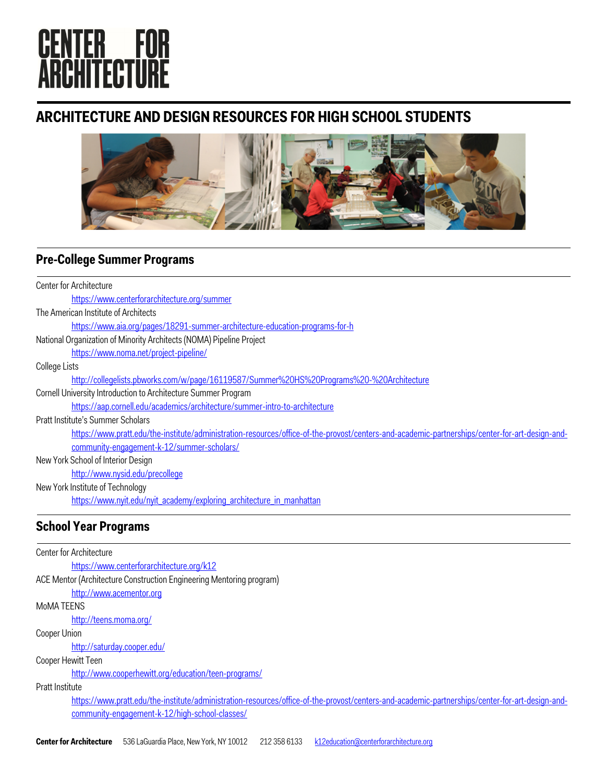# **CENTER FOR<br>ARCHITECTURE**

## **ARCHITECTURE AND DESIGN RESOURCES FOR HIGH SCHOOL STUDENTS**



## **Pre-College Summer Programs**

| Center for Architecture                                                                                                                         |
|-------------------------------------------------------------------------------------------------------------------------------------------------|
| https://www.centerforarchitecture.org/summer                                                                                                    |
| The American Institute of Architects                                                                                                            |
| https://www.aia.org/pages/18291-summer-architecture-education-programs-for-h                                                                    |
| National Organization of Minority Architects (NOMA) Pipeline Project                                                                            |
| https://www.noma.net/project-pipeline/                                                                                                          |
| College Lists                                                                                                                                   |
| http://collegelists.pbworks.com/w/page/16119587/Summer%20HS%20Programs%20-%20Architecture                                                       |
| Cornell University Introduction to Architecture Summer Program                                                                                  |
| https://aap.cornell.edu/academics/architecture/summer-intro-to-architecture                                                                     |
| Pratt Institute's Summer Scholars                                                                                                               |
| https://www.pratt.edu/the-institute/administration-resources/office-of-the-provost/centers-and-academic-partnerships/center-for-art-design-and- |
| community-engagement-k-12/summer-scholars/                                                                                                      |
| New York School of Interior Design                                                                                                              |
| http://www.nysid.edu/precollege                                                                                                                 |
| New York Institute of Technology                                                                                                                |
| https://www.nyit.edu/nyit academy/exploring architecture in manhattan                                                                           |

## **School Year Programs**

Center for Architecture https://www.centerforarchitecture.org/k12 ACE Mentor (Architecture Construction Engineering Mentoring program) http://www.acementor.org MoMA TEENS http://teens.moma.org/ Cooper Union http://saturday.cooper.edu/ Cooper Hewitt Teen http://www.cooperhewitt.org/education/teen-programs/ Pratt Institute https://www.pratt.edu/the-institute/administration-resources/office-of-the-provost/centers-and-academic-partnerships/center-for-art-design-andcommunity-engagement-k-12/high-school-classes/